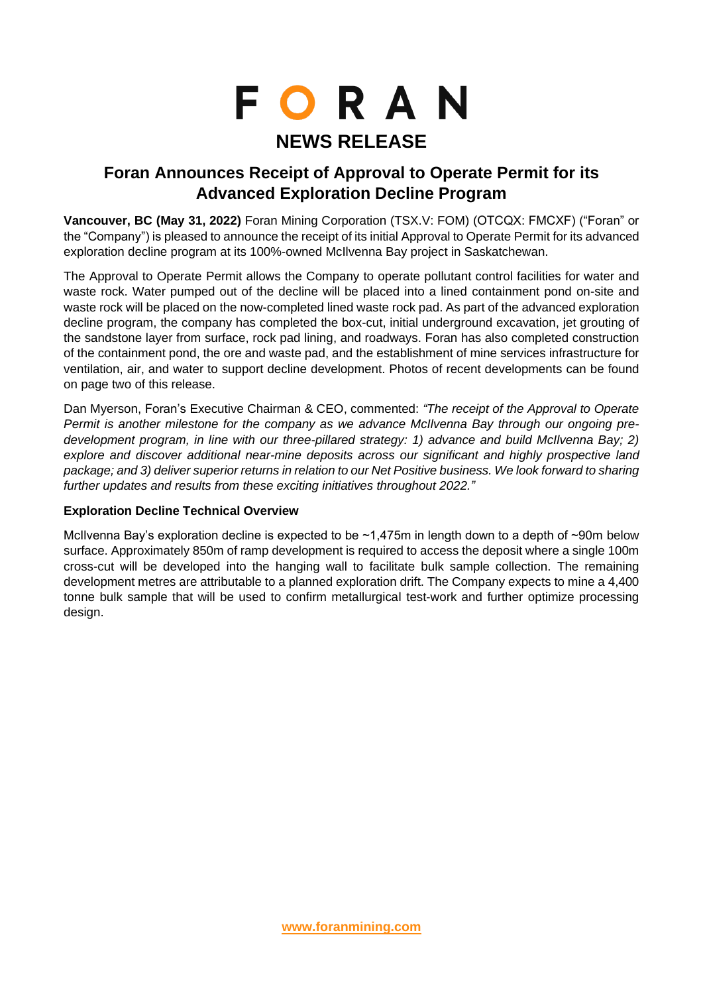# **FORAN NEWS RELEASE**

# **Foran Announces Receipt of Approval to Operate Permit for its Advanced Exploration Decline Program**

**Vancouver, BC (May 31, 2022)** Foran Mining Corporation (TSX.V: FOM) (OTCQX: FMCXF) ("Foran" or the "Company") is pleased to announce the receipt of its initial Approval to Operate Permit for its advanced exploration decline program at its 100%-owned McIlvenna Bay project in Saskatchewan.

The Approval to Operate Permit allows the Company to operate pollutant control facilities for water and waste rock. Water pumped out of the decline will be placed into a lined containment pond on-site and waste rock will be placed on the now-completed lined waste rock pad. As part of the advanced exploration decline program, the company has completed the box-cut, initial underground excavation, jet grouting of the sandstone layer from surface, rock pad lining, and roadways. Foran has also completed construction of the containment pond, the ore and waste pad, and the establishment of mine services infrastructure for ventilation, air, and water to support decline development. Photos of recent developments can be found on page two of this release.

Dan Myerson, Foran's Executive Chairman & CEO, commented: *"The receipt of the Approval to Operate Permit is another milestone for the company as we advance McIlvenna Bay through our ongoing predevelopment program, in line with our three-pillared strategy: 1) advance and build McIlvenna Bay; 2) explore and discover additional near-mine deposits across our significant and highly prospective land package; and 3) deliver superior returns in relation to our Net Positive business. We look forward to sharing further updates and results from these exciting initiatives throughout 2022."*

# **Exploration Decline Technical Overview**

McIlvenna Bay's exploration decline is expected to be ~1,475m in length down to a depth of ~90m below surface. Approximately 850m of ramp development is required to access the deposit where a single 100m cross-cut will be developed into the hanging wall to facilitate bulk sample collection. The remaining development metres are attributable to a planned exploration drift. The Company expects to mine a 4,400 tonne bulk sample that will be used to confirm metallurgical test-work and further optimize processing design.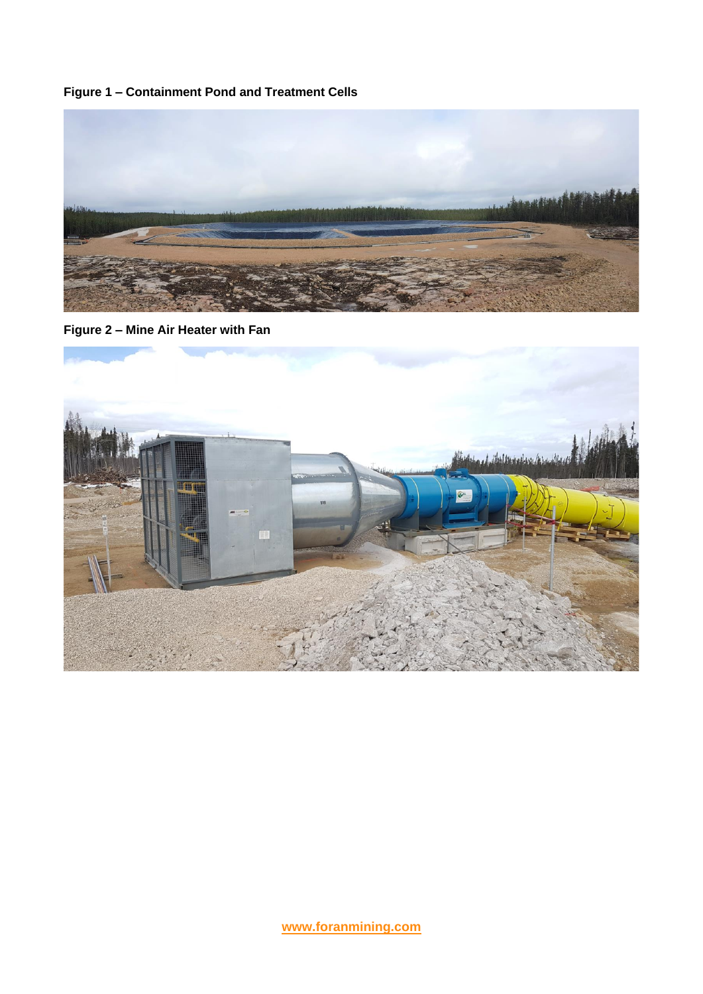**Figure 1 – Containment Pond and Treatment Cells**



**Figure 2 – Mine Air Heater with Fan** 

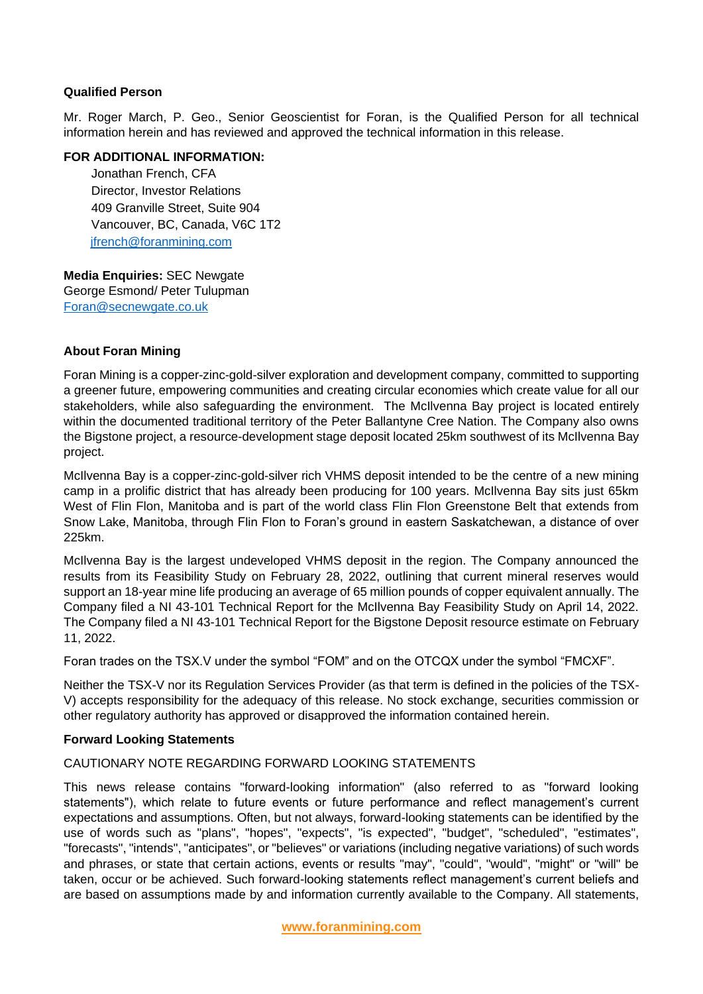### **Qualified Person**

Mr. Roger March, P. Geo., Senior Geoscientist for Foran, is the Qualified Person for all technical information herein and has reviewed and approved the technical information in this release.

#### **FOR ADDITIONAL INFORMATION:**

Jonathan French, CFA Director, Investor Relations 409 Granville Street, Suite 904 Vancouver, BC, Canada, V6C 1T2 [jfrench@foranmining.com](mailto:jfrench@foranmining.com)

Media **Media Enquiries:** SEC Newgate George Esmond/ Peter Tulupman [Foran@secnewgate.co.uk](mailto:Foran@secnewgate.co.uk)

# **About Foran Mining**

Foran Mining is a copper-zinc-gold-silver exploration and development company, committed to supporting a greener future, empowering communities and creating circular economies which create value for all our stakeholders, while also safeguarding the environment. The McIlvenna Bay project is located entirely within the documented traditional territory of the Peter Ballantyne Cree Nation. The Company also owns the Bigstone project, a resource-development stage deposit located 25km southwest of its McIlvenna Bay project.

McIlvenna Bay is a copper-zinc-gold-silver rich VHMS deposit intended to be the centre of a new mining camp in a prolific district that has already been producing for 100 years. McIlvenna Bay sits just 65km West of Flin Flon, Manitoba and is part of the world class Flin Flon Greenstone Belt that extends from Snow Lake, Manitoba, through Flin Flon to Foran's ground in eastern Saskatchewan, a distance of over 225km.

McIlvenna Bay is the largest undeveloped VHMS deposit in the region. The Company announced the results from its Feasibility Study on February 28, 2022, outlining that current mineral reserves would support an 18-year mine life producing an average of 65 million pounds of copper equivalent annually. The Company filed a NI 43-101 Technical Report for the McIlvenna Bay Feasibility Study on April 14, 2022. The Company filed a NI 43-101 Technical Report for the Bigstone Deposit resource estimate on February 11, 2022.

Foran trades on the TSX.V under the symbol "FOM" and on the OTCQX under the symbol "FMCXF".

Neither the TSX-V nor its Regulation Services Provider (as that term is defined in the policies of the TSX-V) accepts responsibility for the adequacy of this release. No stock exchange, securities commission or other regulatory authority has approved or disapproved the information contained herein.

#### **Forward Looking Statements**

## CAUTIONARY NOTE REGARDING FORWARD LOOKING STATEMENTS

This news release contains "forward-looking information" (also referred to as "forward looking statements"), which relate to future events or future performance and reflect management's current expectations and assumptions. Often, but not always, forward-looking statements can be identified by the use of words such as "plans", "hopes", "expects", "is expected", "budget", "scheduled", "estimates", "forecasts", "intends", "anticipates", or "believes" or variations (including negative variations) of such words and phrases, or state that certain actions, events or results "may", "could", "would", "might" or "will" be taken, occur or be achieved. Such forward-looking statements reflect management's current beliefs and are based on assumptions made by and information currently available to the Company. All statements,